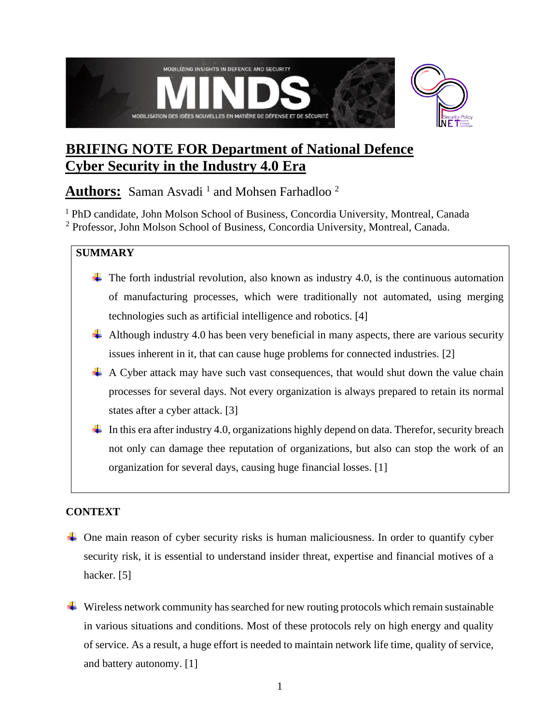

# **BRIFING NOTE FOR Department of National Defence Cyber Security in the Industry 4.0 Era**

Authors: Saman Asvadi<sup>1</sup> and Mohsen Farhadloo<sup>2</sup>

<sup>1</sup> PhD candidate, John Molson School of Business, Concordia University, Montreal, Canada

<sup>2</sup> Professor, John Molson School of Business, Concordia University, Montreal, Canada.

### **SUMMARY**

- $\ddot{\phantom{1}}$  The forth industrial revolution, also known as industry 4.0, is the continuous automation of manufacturing processes, which were traditionally not automated, using merging technologies such as artificial intelligence and robotics. [4]
- $\ddot{+}$  Although industry 4.0 has been very beneficial in many aspects, there are various security issues inherent in it, that can cause huge problems for connected industries. [2]
- $\overline{+}$  A Cyber attack may have such vast consequences, that would shut down the value chain processes for several days. Not every organization is always prepared to retain its normal states after a cyber attack. [3]
- In this era after industry 4.0, organizations highly depend on data. Therefor, security breach not only can damage thee reputation of organizations, but also can stop the work of an organization for several days, causing huge financial losses. [1]

## **CONTEXT**

- $\overline{\phantom{a}}$  One main reason of cyber security risks is human maliciousness. In order to quantify cyber security risk, it is essential to understand insider threat, expertise and financial motives of a hacker. [5]
- $\overline{\phantom{a}}$  Wireless network community has searched for new routing protocols which remain sustainable in various situations and conditions. Most of these protocols rely on high energy and quality of service. As a result, a huge effort is needed to maintain network life time, quality of service, and battery autonomy. [1]